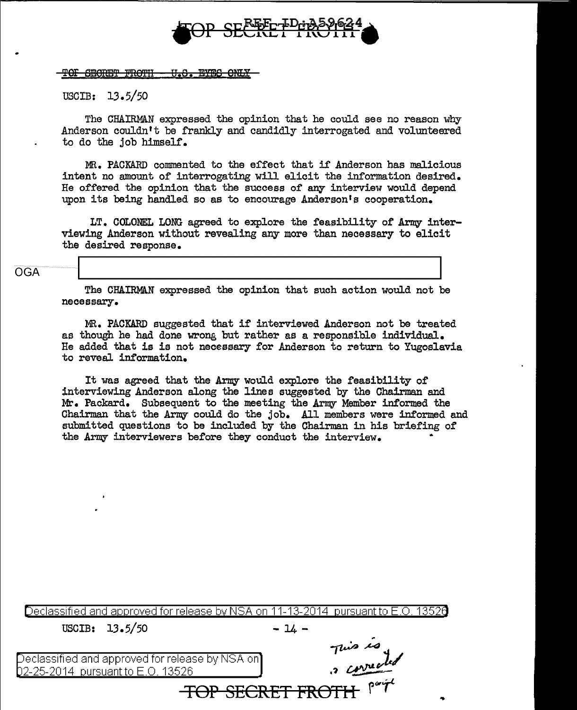

'SEGRET FROTH U.S. EYES ONLY

USCIB: 13.5/50

The CHAIRMAN expressed the opinion that he could see no reason why Anderson couldn't be frankly and candidly interrogated and volunteered to do the job himself.

MR. PACKARD commented to the effect that if' Anderson has malicious intent no amount of interrogating will elicit the information desired. He offered the opinion that the success of any interview would depend upon its being handled so as to encourage Anderson's cooperation.

LT. COLONEL LONG agreed to explore the feasibility of Army interviewing Anderson without revealing any more than necessary to elicit the desired response.

## OGA

The CHAIRMAN expressed the opinion that such action would not be necessary.

MR. PACKARD suggested that if interviewed Anderson not be treated as though he had done wrong but rather as a responsible individual. He added that is is not necessary for Anderson to return to Yugoslavia to reveal information.

It was agreed that the Arnry would explore the feasibility of interviewing Anderson along the lines suggested by the Chairman and Mt-. Packard. Subsequent to the meeting the Army Member informed the Chairman that the Army could do the job. All members were informed and submitted questions to be included by the Chairman in his briefing of the Army interviewers before they conduct the interview. •

| Declassified and approved for release by NSA on 11-13-2014 pursuant to E.O. 13520 |             |
|-----------------------------------------------------------------------------------|-------------|
| USCIB: $13.5/50$                                                                  | $-14 -$     |
|                                                                                   | This is     |
| $\alpha$ Declassified and approved for release by NSA on $\mathbb{R}$             | a corrected |
| 02-25-2014 pursuant to E.O. 13526                                                 |             |
| <del>CRET FROTH</del>                                                             |             |
|                                                                                   |             |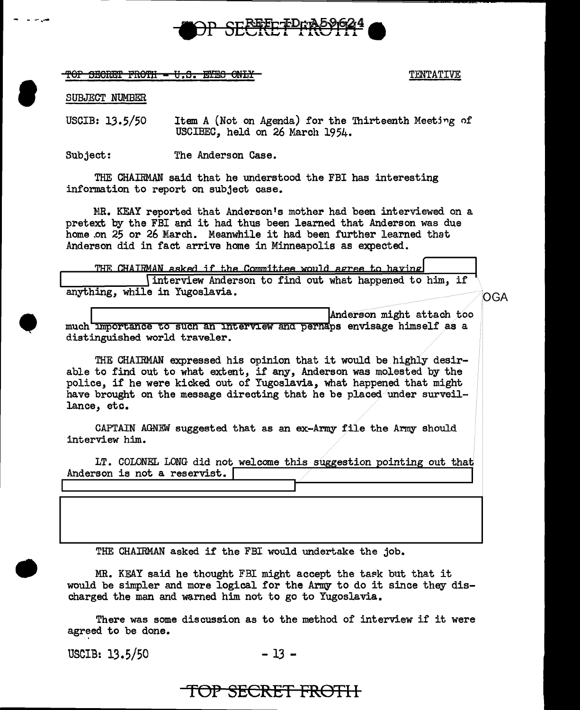

TOP SECRET FROTH - U.S. EYES ONLY TENTATIVE

SUBJECT NUMBER

- ..... -.........

**e** 

•

•

USCIB: 13.5/50 Item A (Not on Agenda) for the Thirteenth Meeting of USCIBEC, held on 26 March 1954.

Subject: The Anderson Case.

THE CHAIRMAN said that he understood the FBI has interesting information to report on subject case.

MR. KEAY reported that Anderson's mother had been interviewed on a pretext by the FBI and it had thus been learned that Anderson was due home .on 25 or 26 March. Meanwhile it had been further learned that Anderson did in fact arrive home in Minneapolis as expected.

THE CHAIRMAN asked if the Committee would agree to having<br>interview Anderson to find out what happened to him, if<br>anything, while in Yugoslavia.

OGA

Anderson might attach too much importance to such an interview and pernaps envisage himself as a distinguished world traveler.

THE CHAIRMAN expressed his opinion that it would be highly desirable to find out to what extent, if any, Anderson was molested by the police, if he were kicked out of Yugoslavia, what happened that might have brought on the message directing that he be placed under surveillance, etc.

CAPTAIN AGNEW suggested that as an ex-Army file the Army should interview him.

LT. COLONEL LONG did not welcome this suggestion pointing out that Anderson is not a reservist.

THE CHAIRMAN asked if the FBI would undertake the job.

MR. KEAY said he thought FBI might accept the task but that it would be simpler and more logical for the Army to do it since they discharged the man and warned him not to go to Yugoslavia.

There was some discussion as to the method of interview if it were agreed to be done.

USCIB:  $13.5/50$  - 13 -

**TOP SECRET FROTI** I